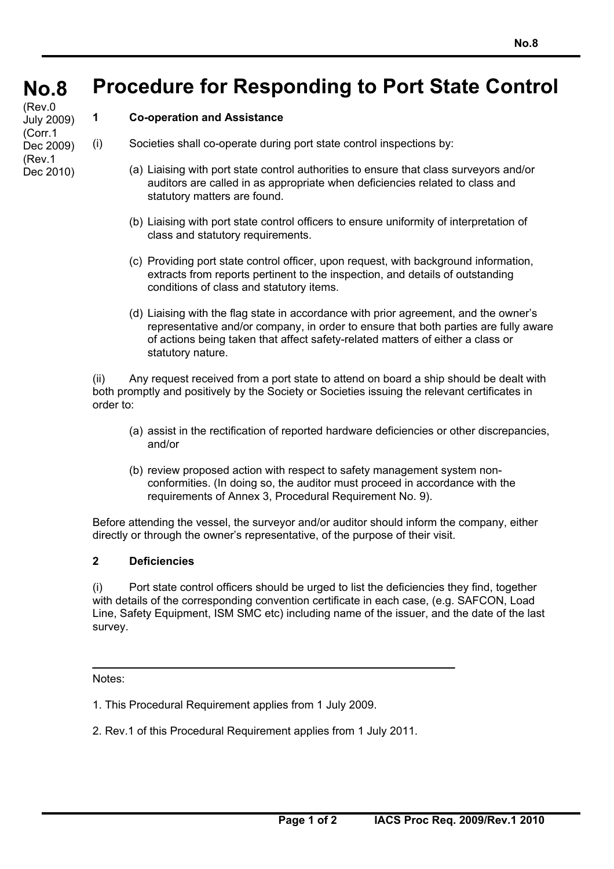#### **No.8 No.8 Procedure for Responding to Port State Control**

(Rev.0 July 2009) (Corr.1 Dec 2009) (Rev.1 Dec 2010)

## **1 Co-operation and Assistance**

- (i) Societies shall co-operate during port state control inspections by:
	- (a) Liaising with port state control authorities to ensure that class surveyors and/or auditors are called in as appropriate when deficiencies related to class and statutory matters are found.
	- (b) Liaising with port state control officers to ensure uniformity of interpretation of class and statutory requirements.
	- (c) Providing port state control officer, upon request, with background information, extracts from reports pertinent to the inspection, and details of outstanding conditions of class and statutory items.
	- (d) Liaising with the flag state in accordance with prior agreement, and the owner's representative and/or company, in order to ensure that both parties are fully aware of actions being taken that affect safety-related matters of either a class or statutory nature.

(ii) Any request received from a port state to attend on board a ship should be dealt with both promptly and positively by the Society or Societies issuing the relevant certificates in order to:

- (a) assist in the rectification of reported hardware deficiencies or other discrepancies, and/or
- (b) review proposed action with respect to safety management system nonconformities. (In doing so, the auditor must proceed in accordance with the requirements of Annex 3, Procedural Requirement No. 9).

Before attending the vessel, the surveyor and/or auditor should inform the company, either directly or through the owner's representative, of the purpose of their visit.

## **2 Deficiencies**

(i) Port state control officers should be urged to list the deficiencies they find, together with details of the corresponding convention certificate in each case, (e.g. SAFCON, Load Line, Safety Equipment, ISM SMC etc) including name of the issuer, and the date of the last survey.

Notes:

- 1. This Procedural Requirement applies from 1 July 2009.
- 2. Rev.1 of this Procedural Requirement applies from 1 July 2011.